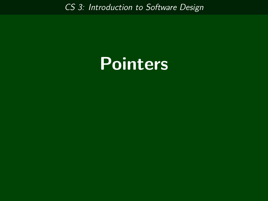*CS 3: Introduction to Software Design*

# **Pointers**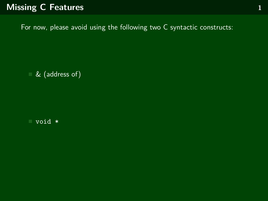# **Missing C Features 1**

For now, please avoid using the following two C syntactic constructs:

& (address of)

void \*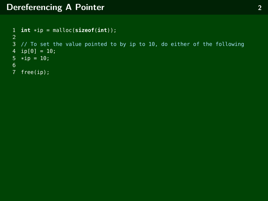# **Dereferencing A Pointer 2**

```
1 int *ip = malloc(sizeof(int));
\frac{2}{3}// To set the value pointed to by ip to 10, do either of the following
4 ip[0] = 10;
5 *ip = 10;
\frac{6}{7}free(ip);
```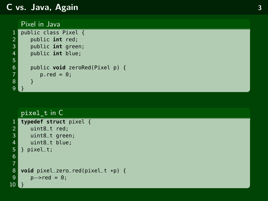#### **C vs. Java, Again**

#### Pixel in Java

```
1 public class Pixel { 2 public int red; 3 public int green; 4 public int blue; 56 public void zeroRed(Pixel p) { p.read = 0;8 } 9 }
```

```
pixel_t in C
 1 typedef struct pixel {<br>2     uint8_t red;<br>3     uint8_t green;
         uint8_t red;
 3 uint8_t green;<br>4 uint8_t blue:
 4 uint8_t blue;<br>5 } pixel_t;<br>6<br>7 8 void pixel_zero_
      5 } pixel_t; 678 void pixel_zero_red(pixel
_
t
*p) {
 9
            p \rightarrow red = 0;10
      }
```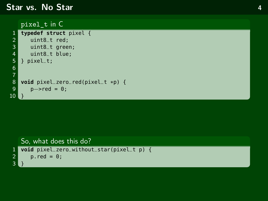#### **Star vs. No Star 4**

```
pixel_t in C
```

```
1 typedef struct pixel {<br>2 uint8_t red;<br>3 uint8_t green;
         uint8_t red;
 3 uint8_t green;<br>4 uint8_t blue;
          uint8_t blue;
      5 } pixel_t;
  6
  7
8 void pixel_zero_red(pixel_t *p) {<br>9 p\rightarrow red = 0:
          p \rightarrow red = 0;10
```

```
So, what does this do?
1 void pixel_zero_without_star(pixel_t p) {
      p.read = 0;\frac{2}{3}
```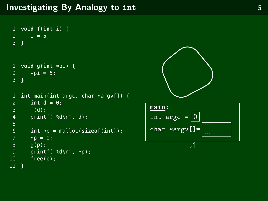```
1 void f(int i) {
 2 i = 5;3 }
 1 void g(int *pi) {
 2 *pi = 5;<br>3 }
    3 }
 1 int main(int argc, char *argv[]) {<br>2 int d = 0:
         int d = 0;
 3 f(d);
         print(f("d\nu", d);5
 6 int *p = \text{malloc}(\text{sizeof}(\text{int}));<br>
7 \qquad*p = 0;7 *p = 0;<br>8 q(p);\begin{array}{cc} 8 & g(p); \\ 9 & n \end{array}9 printf("%d\n", *p);<br>10 free(p);
         free(p);11 }
```


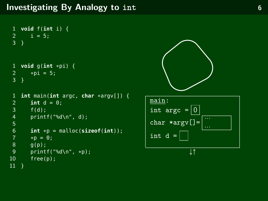```
1 void f(int i) {
 2 i = 5;3 }
 1 void g(int *pi) {
 2 *pi = 5;<br>3 }
    3 }
 1 int main(int argc, char *argv[]) {
        int d = 0;
 3 f(d);
        print(f("d\nu", d);5
 6 int *p = \text{malloc}(\text{sizeof}(\text{int})));<br>7 *p = 0;
 7 *p = 0;<br>8 q(p);\begin{array}{cc} 8 & g(p); \\ 9 & n \end{array}9 printf("%d\n", *p);<br>10 free(p);
         free(p);11 \}
```


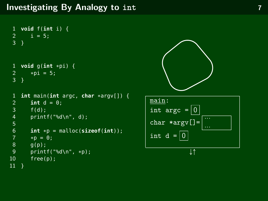```
1 void f(int i) {
 2 i = 5;3 }
 1 void g(int *pi) {
 2 *pi = 5;<br>3 }
    3 }
 1 int main(int argc, char *argv[]) {
        int d = 0;
 3 f(d);
        print(f("d\nu", d);5
 6 int *p = \text{malloc}(\text{sizeof}(\text{int})));<br>7 *p = 0;
 7 *p = 0;<br>8 q(p);\begin{array}{cc} 8 & g(p); \\ 9 & n \end{array}9 printf("%d\n", *p);<br>10 free(p);
         free(p);11 \}
```


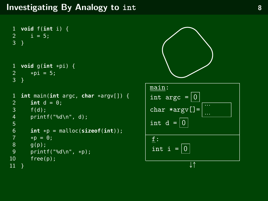```
1 void f(int i) {
 2 i = 5;3 }
 1 void g(int *pi) {
 2 *pi = 5;<br>3 }
   3 }
 1 int main(int argc, char *argv[]) {
       int d = 0;
 3 f(d);
       print(f("d\nu", d);5
 6 int *p = \text{malloc}(\text{sizeof}(\text{int})));<br>7 *p = 0;
 7 *p = 0;<br>8 q(p);q(p);
9 printf("%d\n", *p);<br>10 free(p);
       free(p);
11 \}
```
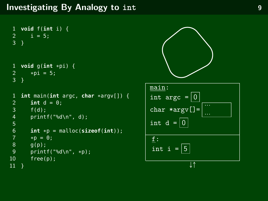## **Investigating By Analogy to int 1999 10 11 9 9**

```
1 void f(int i) {
 2 i = 5;3 }
 1 void g(int *pi) {
 2 *pi = 5;<br>3 }
   3 }
 1 int main(int argc, char *argv[]) {
       int d = 0;
 3 f(d);
       print(f("d\nu", d);5
 6 int *p = \text{malloc}(\text{sizeof}(\text{int})));<br>7 *p = 0;
 7 *p = 0;<br>8 q(p);q(p);
9 printf("%d\n", *p);<br>10 free(p);
       free(p);
11 \}
```
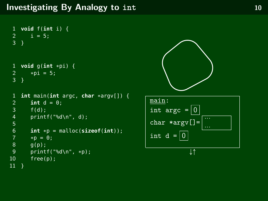```
1 void f(int i) {
 2 i = 5;3 }
 1 void g(int *pi) {
 2 *pi = 5;<br>3 }
    3 }
 1 int main(int argc, char *argv[]) {
        int d = 0;
 3 f(d);
        print(f("d\nu", d);5
 6 int *p = \text{malloc}(\text{sizeof}(\text{int})));<br>7 *p = 0;
 7 *p = 0;<br>8 q(p);\begin{array}{cc} 8 & g(p); \\ 9 & n \end{array}9 printf("%d\n", *p);<br>10 free(p);
         free(p);11 \}
```


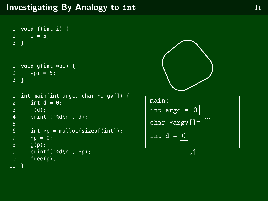```
1 void f(int i) {
 2 i = 5;3 }
 1 void g(int *pi) {
 2 *pi = 5;<br>3 }
    3 }
 1 int main(int argc, char *argv[]) {
        int d = 0;
 3 f(d);
        print(f("d\nu", d);5
 6 int *p = \text{malloc}(\text{sizeof}(\text{int})));<br>7 *p = 0;
 7 *p = 0;<br>8 q(p);\begin{array}{cc} 8 & g(p); \\ 9 & n \end{array}9 printf("%d\n", *p);<br>10 free(p);
         free(p);11 \}
```


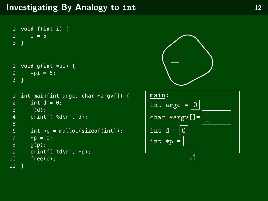```
1 void f(int i) {
 2 i = 5;3 }
 1 void g(int *pi) {
 2 *pi = 5;<br>3 }
   3 }
 1 int main(int argc, char *argv[]) {
        int d = 0;
 3 f(d);
        print(f("d\nu", d);5
 6 int *p = \text{malloc}(\text{sizeof}(\text{int}));<br>
7 \qquad*p = 0;7 *p = 0;<br>8 q(p);q(p);
9 printf("%d\n", *p);<br>10 free(p);
        free(p);11 \}
```


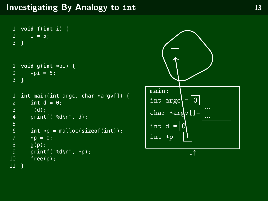```
1 void f(int i) {
 2 i = 5;3 }
 1 void g(int *pi) {
 2 *pi = 5;<br>3 }
    3 }
 1 int main(int argc, char *argv[]) {<br>2 int d = 0:
         int d = 0;
 3 f(d);
         print(f("d\nu", d);5
 6 int *p = \text{malloc}(\text{sizeof}(\text{int})));<br>7 *p = 0;
 7 *p = 0;<br>8 q(p);\begin{array}{cc} 8 & g(p); \\ 9 & n \end{array}9 printf("%d\n", *p);<br>10 free(p);
         free(p);11 }
```
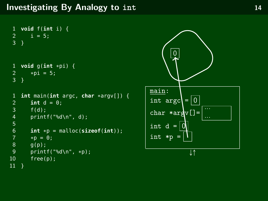```
1 void f(int i) {
 2 i = 5;3 }
 1 void g(int *pi) {
 2 *pi = 5;<br>3 }
    3 }
 1 int main(int argc, char *argv[]) {<br>2 int d = 0:
         int d = 0;
 3 f(d);
         print(f("d\nu", d);5
 6 int *p = \text{malloc}(\text{sizeof}(\text{int})));<br>7 *p = 0;
 7 *p = 0;<br>8 q(p);\begin{array}{cc} 8 & g(p); \\ 9 & n \end{array}9 printf("%d\n", *p);<br>10 free(p);
         free(p);11 }
```
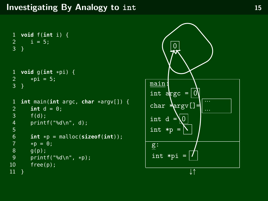```
1 void f(int i) {
2 i = 5;3\overline{)}1 void g(int *pi) {
        *pi = 5;3 }
1 int main(int argc, char *argv[]) {
 2 int d = 0;<br>3 f(d):
        f(d);
4 printf("%d\n", d);
5
6 int *p = \text{malloc}(\text{sizeof}(\text{int}));<br>
7 \qquad*p = 0;7 * p = 0;<br>8 g(p);8 g(p);
9 printf("%d\n", *p);<br>10 free(p):
        free(p);11 }
```
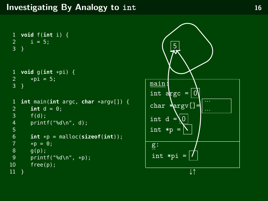```
1 void f(int i) {
2 i = 5;3\overline{)}1 void g(int *pi) {
        *pi = 5;3 }
1 int main(int argc, char *argv[]) {
 2 int d = 0;<br>3 f(d):
        f(d);
4 printf("%d\n", d);
5
6 int *p = \text{malloc}(\text{sizeof}(\text{int}));<br>
7 \qquad*p = 0;7 * p = 0;<br>8 g(p);8 g(p);
9 printf("%d\n", *p);<br>10 free(p):
        free(p);11 }
```
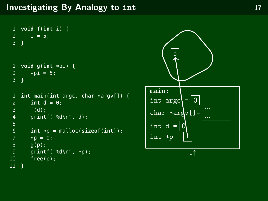```
1 void f(int i) {
 2 i = 5;3 }
 1 void g(int *pi) {
 2 *pi = 5;<br>3 }
    3 }
 1 int main(int argc, char *argv[]) {<br>2 int d = 0:
         int d = 0;
 3 f(d);
         print(f("d\nu", d);5
 6 int *p = \text{malloc}(\text{sizeof}(\text{int})));<br>7 *p = 0;
 7 *p = 0;<br>8 q(p);\begin{array}{cc} 8 & g(p); \\ 9 & n \end{array}9 printf("%d\n", *p);<br>10 free(p);
         free(p);11 }
```
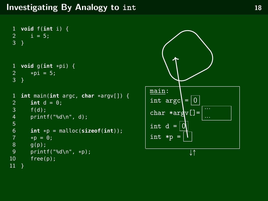```
1 void f(int i) {
 2 i = 5;3 }
 1 void g(int *pi) {
 2 *pi = 5;<br>3 }
    3 }
 1 int main(int argc, char *argv[]) {<br>2 int d = 0:
         int d = 0;
 3 f(d);
         print(f("d\nu", d);5
 6 int *p = \text{malloc}(\text{sizeof}(\text{int})));<br>7 *p = 0;
 7 *p = 0;<br>8 q(p);\begin{array}{cc} 8 & g(p); \\ 9 & n \end{array}9 printf("%d\n", *p);<br>10 free(p);
         free(p);11 }
```
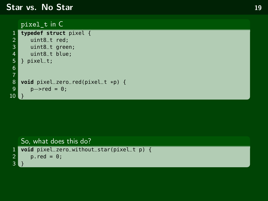#### **Star vs. No Star 19**

```
pixel_t in C
```

```
1 typedef struct pixel {<br>2 uint8_t red;<br>3 uint8_t green;
           uint8_t red;
 3 uint8_t green;<br>4 uint8_t blue;
           uint8_t blue;
      5 } pixel_t;
  6
  7
8 void pixel_zero_red(pixel_t *p) {<br>9 p\rightarrow red = 0:
           p \rightarrow red = 0;10
```

```
So, what does this do?
1 void pixel_zero_without_star(pixel_t p) {
      p.read = 0;\frac{2}{3}
```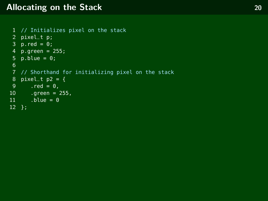#### **Allocating on the Stack 20**

```
1 // Initializes pixel on the stack 2 pixel_t p; 3 p.read = 0;4 p.green = 255; 5 p.blue = 0;<br>6
7 // Shorthand for initializing pixel on the stack
8 pixel_t p2 = \{9 .red = 0,
10 .green = 255,
11 .blue = 012 };
```